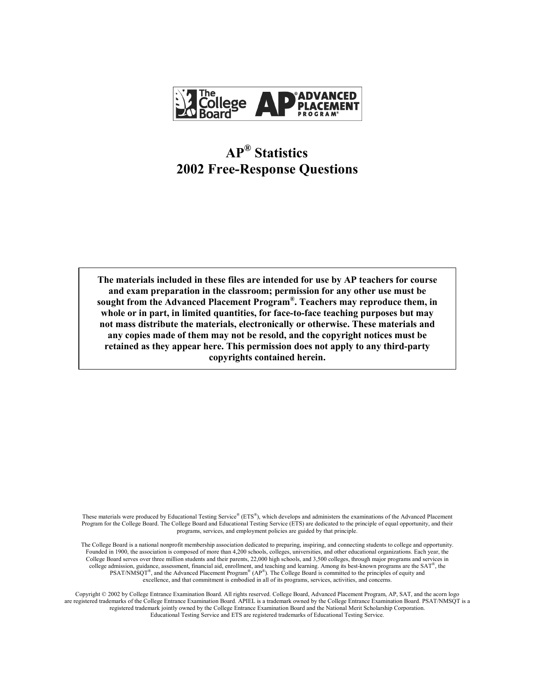

# **APÆ Statistics 2002 Free-Response Questions**

**The materials included in these files are intended for use by AP teachers for course and exam preparation in the classroom; permission for any other use must be**  sought from the Advanced Placement Program<sup>®</sup>. Teachers may reproduce them, in **whole or in part, in limited quantities, for face-to-face teaching purposes but may not mass distribute the materials, electronically or otherwise. These materials and any copies made of them may not be resold, and the copyright notices must be retained as they appear here. This permission does not apply to any third-party copyrights contained herein.** 

These materials were produced by Educational Testing Service® ( $ETS^*$ ), which develops and administers the examinations of the Advanced Placement Program for the College Board. The College Board and Educational Testing Service (ETS) are dedicated to the principle of equal opportunity, and their programs, services, and employment policies are guided by that principle.

The College Board is a national nonprofit membership association dedicated to preparing, inspiring, and connecting students to college and opportunity. Founded in 1900, the association is composed of more than 4,200 schools, colleges, universities, and other educational organizations. Each year, the College Board serves over three million students and their parents, 22,000 high schools, and 3,500 colleges, through major programs and services in college admission, guidance, assessment, financial aid, enrollment, and teaching and learning. Among its best-known programs are the  $SAT^*$ , the  $PSAT/NM\text{SQT}^{\text{R}}$ , and the Advanced Placement Program<sup>®</sup> (AP<sup>®</sup>). The College Board is committed to the principles of equity and excellence, and that commitment is embodied in all of its programs, services, activities, and concerns.

Copyright © 2002 by College Entrance Examination Board. All rights reserved. College Board, Advanced Placement Program, AP, SAT, and the acorn logo are registered trademarks of the College Entrance Examination Board. APIEL is a trademark owned by the College Entrance Examination Board. PSAT/NMSQT is a registered trademark jointly owned by the College Entrance Examination Board and the National Merit Scholarship Corporation. Educational Testing Service and ETS are registered trademarks of Educational Testing Service.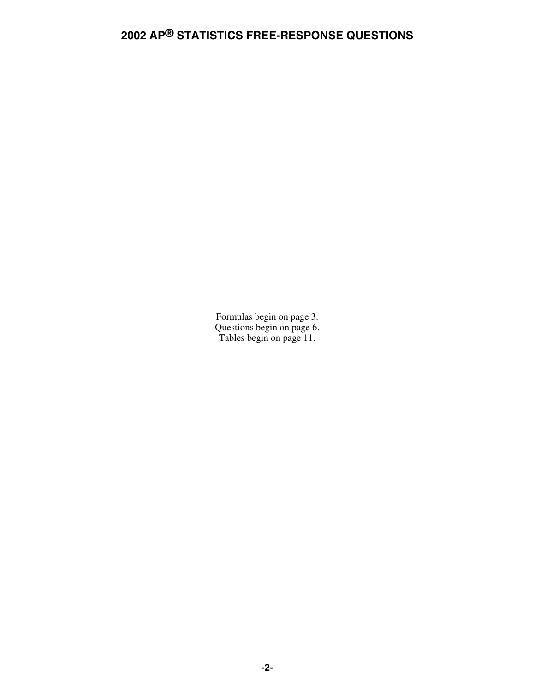Formulas begin on page 3. Questions begin on page 6. Tables begin on page 11.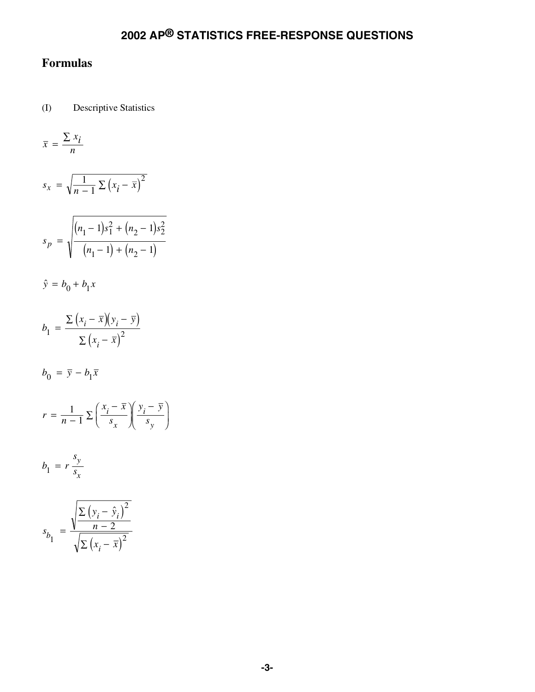## **Formulas**

(I) Descriptive Statistics

$$
\bar{x} = \frac{\sum x_i}{n}
$$

$$
s_x = \sqrt{\frac{1}{n-1} \sum (x_i - \overline{x})^2}
$$

$$
s_p = \sqrt{\frac{(n_1 - 1)s_1^2 + (n_2 - 1)s_2^2}{(n_1 - 1) + (n_2 - 1)}}
$$

$$
\hat{y} = b_0 + b_1 x
$$

$$
b_1 = \frac{\sum (x_i - \overline{x})(y_i - \overline{y})}{\sum (x_i - \overline{x})^2}
$$

 $b_0 = \overline{y} - b_1 \overline{x}$ 

$$
r = \frac{1}{n-1} \sum \left( \frac{x_i - \overline{x}}{s_x} \right) \left( \frac{y_i - \overline{y}}{s_y} \right)
$$

$$
b_1 = r \frac{s_y}{s_x}
$$

$$
s_{b_1} = \frac{\sqrt{\frac{\sum (y_i - \hat{y}_i)^2}{n-2}}}{\sqrt{\sum (x_i - \bar{x})^2}}
$$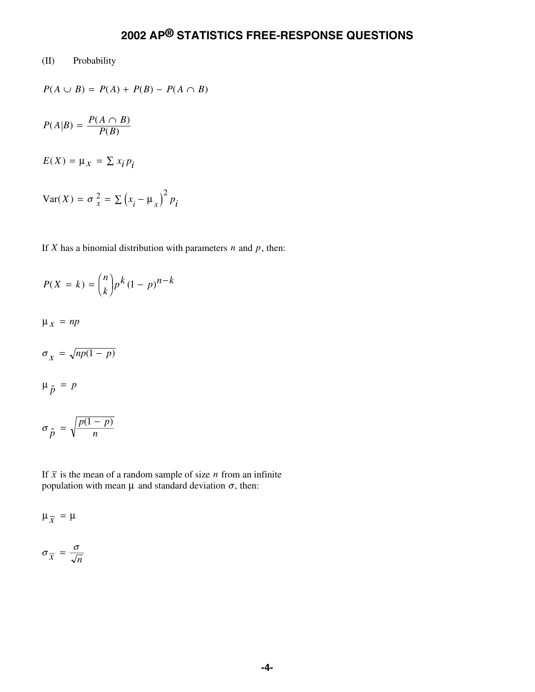#### (II) Probability

$$
P(A \cup B) = P(A) + P(B) - P(A \cap B)
$$

$$
P(A|B) = \frac{P(A \cap B)}{P(B)}
$$

 $E(X) = \mu_X = \sum x_i p_i$ 

$$
Var(X) = \sigma_x^2 = \sum (x_i - \mu_x)^2 p_i
$$

If *X* has a binomial distribution with parameters  $n$  and  $p$ , then:

$$
P(X = k) = {n \choose k} p^k (1 - p)^{n - k}
$$

 $\mu_x$  =  $np$ 

$$
\sigma_{\chi} = \sqrt{np(1-p)}
$$

$$
\mu_{\hat{p}} = p
$$

$$
\sigma_{\hat{p}} = \sqrt{\frac{p(1-p)}{n}}
$$

If  $\bar{x}$  is the mean of a random sample of size *n* from an infinite population with mean  $\mu$  and standard deviation  $\sigma$ , then:

$$
\mu_{\overline{x}} = \mu
$$

$$
\sigma_{\overline{x}} = \frac{\sigma}{\sqrt{n}}
$$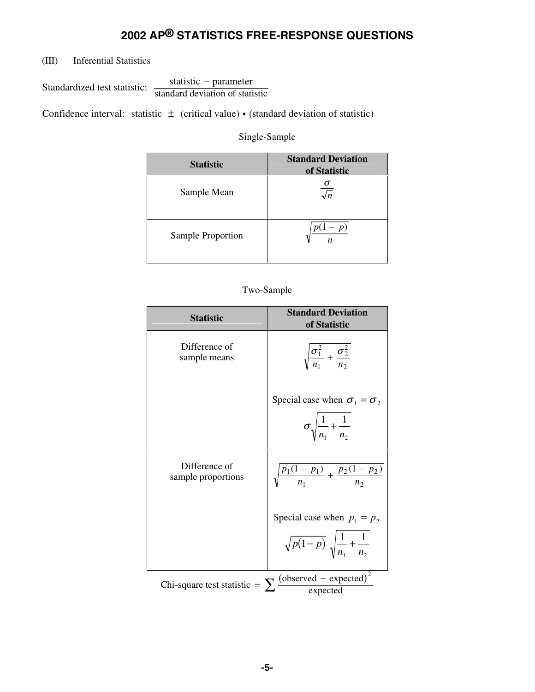(III) Inferential Statistics

Standardized test statistic:  $\frac{\text{statistic - parameter}}{\text{standard deviation of statistic}}$ -

Confidence interval: statistic  $\pm$  (critical value) • (standard deviation of statistic)

Single-Sample

| <b>Statistic</b>  | <b>Standard Deviation</b><br>of Statistic |
|-------------------|-------------------------------------------|
| Sample Mean       |                                           |
| Sample Proportion | $-p)$<br>$\boldsymbol{n}$                 |

Two-Sample

| <b>Statistic</b>                    | <b>Standard Deviation</b><br>of Statistic                                            |
|-------------------------------------|--------------------------------------------------------------------------------------|
| Difference of<br>sample means       | $\sqrt{\frac{\sigma_1^2}{n_1} + \frac{\sigma_2^2}{n_2}}$                             |
|                                     | Special case when $\sigma_1 = \sigma_2$<br>$\sigma \sqrt{\frac{1}{n} + \frac{1}{n}}$ |
| Difference of<br>sample proportions | $\sqrt{\frac{p_1(1-p_1)}{n_1} + \frac{p_2(1-p_2)}{n_2}}$                             |
|                                     | Special case when $p_1 = p_2$                                                        |
|                                     | $\sqrt{p(1-p)}\sqrt{\frac{1}{n_1}+\frac{1}{n_2}}$                                    |
| Chi-square test statistic = $\sum$  | $\frac{\text{(observed - expected)}^2}{\text{expected}}$                             |
|                                     |                                                                                      |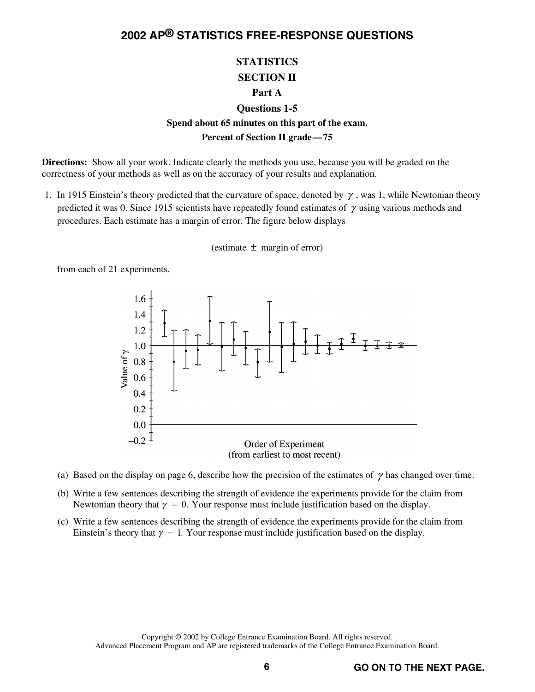#### **STATISTICS SECTION II Part A**

### **Questions 1-5**

#### **Spend about 65 minutes on this part of the exam. Percent of Section II grade—75**

**Directions:** Show all your work. Indicate clearly the methods you use, because you will be graded on the correctness of your methods as well as on the accuracy of your results and explanation.

1. In 1915 Einstein's theory predicted that the curvature of space, denoted by  $\gamma$ , was 1, while Newtonian theory predicted it was 0. Since 1915 scientists have repeatedly found estimates of  $\gamma$  using various methods and procedures. Each estimate has a margin of error. The figure below displays

(estimate  $\pm$  margin of error)

from each of 21 experiments.



- (a) Based on the display on page 6, describe how the precision of the estimates of  $\gamma$  has changed over time.
- (b) Write a few sentences describing the strength of evidence the experiments provide for the claim from Newtonian theory that  $\gamma = 0$ . Your response must include justification based on the display.
- (c) Write a few sentences describing the strength of evidence the experiments provide for the claim from Einstein's theory that  $\gamma = 1$ . Your response must include justification based on the display.

Copyright © 2002 by College Entrance Examination Board. All rights reserved. Advanced Placement Program and AP are registered trademarks of the College Entrance Examination Board.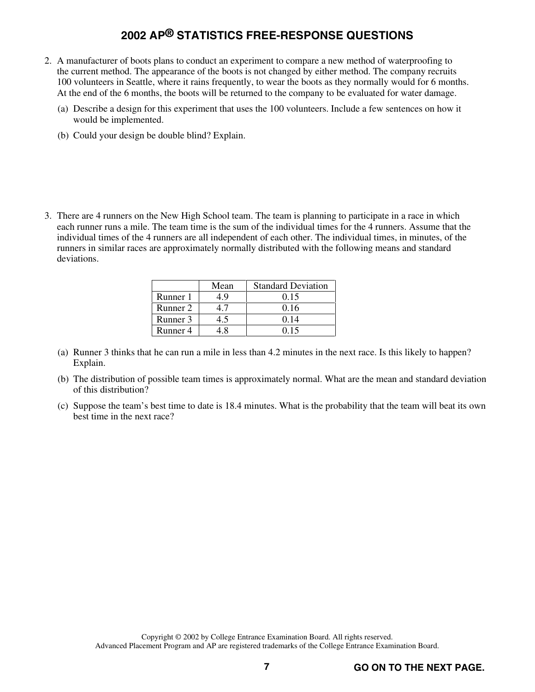- 2. A manufacturer of boots plans to conduct an experiment to compare a new method of waterproofing to the current method. The appearance of the boots is not changed by either method. The company recruits 100 volunteers in Seattle, where it rains frequently, to wear the boots as they normally would for 6 months. At the end of the 6 months, the boots will be returned to the company to be evaluated for water damage.
	- (a) Describe a design for this experiment that uses the 100 volunteers. Include a few sentences on how it would be implemented.
	- (b) Could your design be double blind? Explain.
- 3. There are 4 runners on the New High School team. The team is planning to participate in a race in which each runner runs a mile. The team time is the sum of the individual times for the 4 runners. Assume that the individual times of the 4 runners are all independent of each other. The individual times, in minutes, of the runners in similar races are approximately normally distributed with the following means and standard deviations.

|          | Mean | <b>Standard Deviation</b> |
|----------|------|---------------------------|
| Runner 1 | 1.9  | 0.15                      |
| Runner 2 |      | 0.16                      |
| Runner 3 | 4.5  | 0.14                      |
| Runner 4 |      | 0.15                      |

- (a) Runner 3 thinks that he can run a mile in less than 4.2 minutes in the next race. Is this likely to happen? Explain.
- (b) The distribution of possible team times is approximately normal. What are the mean and standard deviation of this distribution?
- (c) Suppose the team's best time to date is 18.4 minutes. What is the probability that the team will beat its own best time in the next race?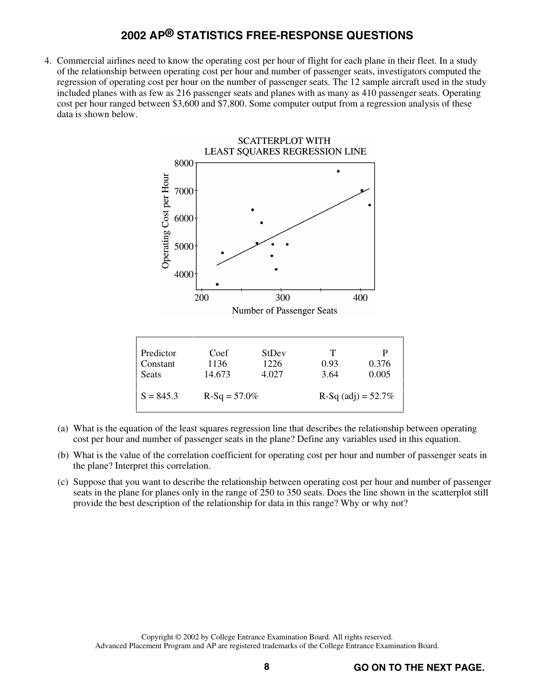4. Commercial airlines need to know the operating cost per hour of flight for each plane in their fleet. In a study of the relationship between operating cost per hour and number of passenger seats, investigators computed the regression of operating cost per hour on the number of passenger seats. The 12 sample aircraft used in the study included planes with as few as 216 passenger seats and planes with as many as 410 passenger seats. Operating cost per hour ranged between \$3,600 and \$7,800. Some computer output from a regression analysis of these data is shown below.



- (a) What is the equation of the least squares regression line that describes the relationship between operating cost per hour and number of passenger seats in the plane? Define any variables used in this equation.
- (b) What is the value of the correlation coefficient for operating cost per hour and number of passenger seats in the plane? Interpret this correlation.
- (c) Suppose that you want to describe the relationship between operating cost per hour and number of passenger seats in the plane for planes only in the range of 250 to 350 seats. Does the line shown in the scatterplot still provide the best description of the relationship for data in this range? Why or why not?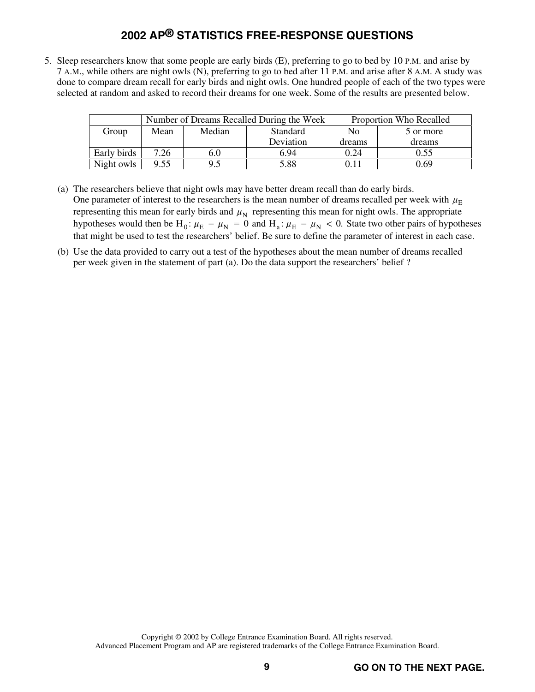5. Sleep researchers know that some people are early birds (E), preferring to go to bed by 10 P.M. and arise by 7 A.M., while others are night owls (N), preferring to go to bed after 11 P.M. and arise after 8 A.M. A study was done to compare dream recall for early birds and night owls. One hundred people of each of the two types were selected at random and asked to record their dreams for one week. Some of the results are presented below.

|             |      |        | Number of Dreams Recalled During the Week | Proportion Who Recalled |           |  |
|-------------|------|--------|-------------------------------------------|-------------------------|-----------|--|
| Group       | Mean | Median | Standard                                  | No                      | 5 or more |  |
|             |      |        | Deviation                                 | dreams                  | dreams    |  |
| Early birds | 7.26 | 6.0    | 6.94                                      | 0.24                    | 0.55      |  |
| Night owls  | 9.55 | 9.5    | 5.88                                      | 0.11                    | 0.69      |  |

- (a) The researchers believe that night owls may have better dream recall than do early birds. One parameter of interest to the researchers is the mean number of dreams recalled per week with  $\mu_F$ representing this mean for early birds and  $\mu_N$  representing this mean for night owls. The appropriate hypotheses would then be  $H_0: \mu_E - \mu_N = 0$  and  $H_a: \mu_E - \mu_N < 0$ . State two other pairs of hypotheses that might be used to test the researchers' belief. Be sure to define the parameter of interest in each case.
- (b) Use the data provided to carry out a test of the hypotheses about the mean number of dreams recalled per week given in the statement of part (a). Do the data support the researchers' belief ?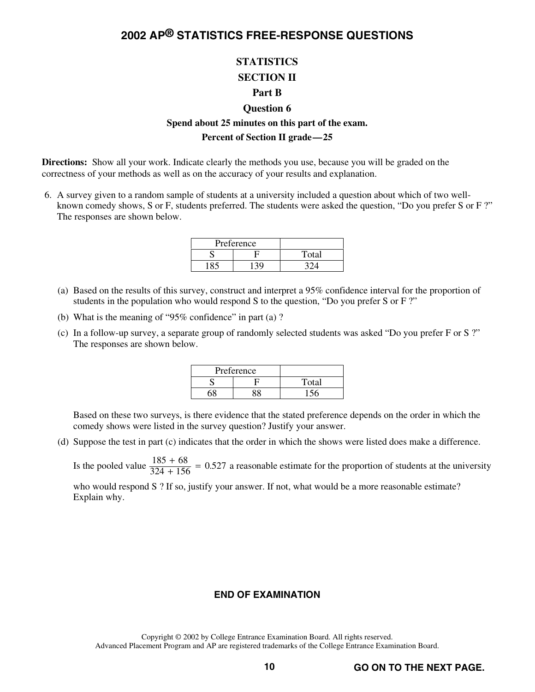## **STATISTICS SECTION II**

#### **Part B**

#### **Question 6**

#### **Spend about 25 minutes on this part of the exam. Percent of Section II grade—25**

**Directions:** Show all your work. Indicate clearly the methods you use, because you will be graded on the correctness of your methods as well as on the accuracy of your results and explanation.

 6. A survey given to a random sample of students at a university included a question about which of two wellknown comedy shows, S or F, students preferred. The students were asked the question, "Do you prefer S or F ?" The responses are shown below.

| Preference    |       |
|---------------|-------|
|               | Total |
| $130^{\circ}$ |       |

- (a) Based on the results of this survey, construct and interpret a 95% confidence interval for the proportion of students in the population who would respond S to the question, "Do you prefer S or F ?"
- (b) What is the meaning of "95% confidence" in part (a) ?
- (c) In a follow-up survey, a separate group of randomly selected students was asked "Do you prefer F or S ?" The responses are shown below.

| Preference |       |
|------------|-------|
|            | Total |
|            |       |

 Based on these two surveys, is there evidence that the stated preference depends on the order in which the comedy shows were listed in the survey question? Justify your answer.

(d) Suppose the test in part (c) indicates that the order in which the shows were listed does make a difference.

Is the pooled value  $\frac{185 + 68}{324 + 156}$  = 0.527 a reasonable estimate for the proportion of students at the university

who would respond S ? If so, justify your answer. If not, what would be a more reasonable estimate? Explain why.

#### **END OF EXAMINATION**

Copyright © 2002 by College Entrance Examination Board. All rights reserved. Advanced Placement Program and AP are registered trademarks of the College Entrance Examination Board.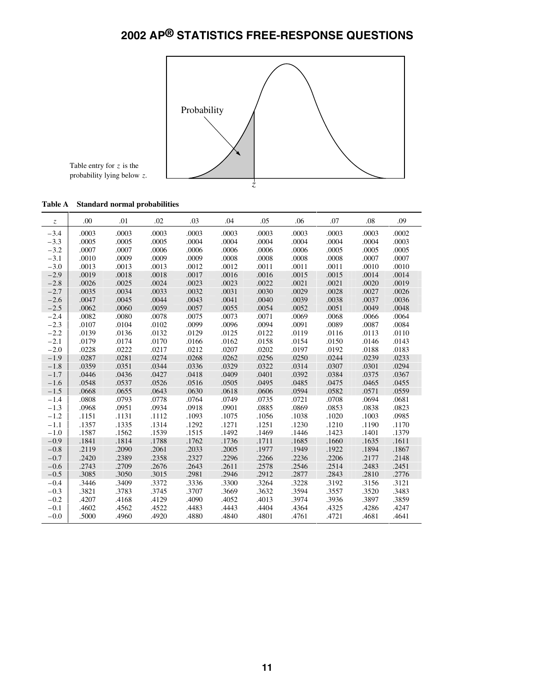

Table entry for *z* is the probability lying below *z*.

| Table A Standard normal probabilities |  |  |  |  |
|---------------------------------------|--|--|--|--|
|---------------------------------------|--|--|--|--|

| $\ensuremath{\mathnormal{Z}}$ | .00   | .01   | .02   | .03   | .04   | .05   | .06   | .07   | .08   | .09   |
|-------------------------------|-------|-------|-------|-------|-------|-------|-------|-------|-------|-------|
| $-3.4$                        | .0003 | .0003 | .0003 | .0003 | .0003 | .0003 | .0003 | .0003 | .0003 | .0002 |
| $-3.3$                        | .0005 | .0005 | .0005 | .0004 | .0004 | .0004 | .0004 | .0004 | .0004 | .0003 |
| $-3.2$                        | .0007 | .0007 | .0006 | .0006 | .0006 | .0006 | .0006 | .0005 | .0005 | .0005 |
| $-3.1$                        | .0010 | .0009 | .0009 | .0009 | .0008 | .0008 | .0008 | .0008 | .0007 | .0007 |
| $-3.0$                        | .0013 | .0013 | .0013 | .0012 | .0012 | .0011 | .0011 | .0011 | .0010 | .0010 |
| $-2.9$                        | .0019 | .0018 | .0018 | .0017 | .0016 | .0016 | .0015 | .0015 | .0014 | .0014 |
| $-2.8$                        | .0026 | .0025 | .0024 | .0023 | .0023 | .0022 | .0021 | .0021 | .0020 | .0019 |
| $-2.7$                        | .0035 | .0034 | .0033 | .0032 | .0031 | .0030 | .0029 | .0028 | .0027 | .0026 |
| $-2.6$                        | .0047 | .0045 | .0044 | .0043 | .0041 | .0040 | .0039 | .0038 | .0037 | .0036 |
| $-2.5$                        | .0062 | .0060 | .0059 | .0057 | .0055 | .0054 | .0052 | .0051 | .0049 | .0048 |
| $-2.4$                        | .0082 | .0080 | .0078 | .0075 | .0073 | .0071 | .0069 | .0068 | .0066 | .0064 |
| $-2.3$                        | .0107 | .0104 | .0102 | .0099 | .0096 | .0094 | .0091 | .0089 | .0087 | .0084 |
| $-2.2$                        | .0139 | .0136 | .0132 | .0129 | .0125 | .0122 | .0119 | .0116 | .0113 | .0110 |
| $-2.1$                        | .0179 | .0174 | .0170 | .0166 | .0162 | .0158 | .0154 | .0150 | .0146 | .0143 |
| $-2.0$                        | .0228 | .0222 | .0217 | .0212 | .0207 | .0202 | .0197 | .0192 | .0188 | .0183 |
| $-1.9$                        | .0287 | .0281 | .0274 | .0268 | .0262 | .0256 | .0250 | .0244 | .0239 | .0233 |
| $-1.8$                        | .0359 | .0351 | .0344 | .0336 | .0329 | .0322 | .0314 | .0307 | .0301 | .0294 |
| $-1.7$                        | .0446 | .0436 | .0427 | .0418 | .0409 | .0401 | .0392 | .0384 | .0375 | .0367 |
| $-1.6$                        | .0548 | .0537 | .0526 | .0516 | .0505 | .0495 | .0485 | .0475 | .0465 | .0455 |
| $-1.5$                        | .0668 | .0655 | .0643 | .0630 | .0618 | .0606 | .0594 | .0582 | .0571 | .0559 |
| $-1.4$                        | .0808 | .0793 | .0778 | .0764 | .0749 | .0735 | .0721 | .0708 | .0694 | .0681 |
| $-1.3$                        | .0968 | .0951 | .0934 | .0918 | .0901 | .0885 | .0869 | .0853 | .0838 | .0823 |
| $-1.2$                        | .1151 | .1131 | .1112 | .1093 | .1075 | .1056 | .1038 | .1020 | .1003 | .0985 |
| $-1.1$                        | .1357 | .1335 | .1314 | .1292 | .1271 | .1251 | .1230 | .1210 | .1190 | .1170 |
| $-1.0$                        | .1587 | .1562 | .1539 | .1515 | .1492 | .1469 | .1446 | .1423 | .1401 | .1379 |
| $-0.9$                        | .1841 | .1814 | .1788 | .1762 | .1736 | .1711 | .1685 | .1660 | .1635 | .1611 |
| $-0.8$                        | .2119 | .2090 | .2061 | .2033 | .2005 | .1977 | .1949 | .1922 | .1894 | .1867 |
| $-0.7$                        | .2420 | .2389 | .2358 | .2327 | .2296 | .2266 | .2236 | .2206 | .2177 | .2148 |
| $-0.6$                        | .2743 | .2709 | .2676 | .2643 | .2611 | .2578 | .2546 | .2514 | .2483 | .2451 |
| $-0.5$                        | .3085 | .3050 | .3015 | .2981 | .2946 | .2912 | .2877 | .2843 | .2810 | .2776 |
| $-0.4$                        | .3446 | .3409 | .3372 | .3336 | .3300 | .3264 | .3228 | .3192 | .3156 | .3121 |
| $-0.3$                        | .3821 | .3783 | .3745 | .3707 | .3669 | .3632 | .3594 | .3557 | .3520 | .3483 |
| $-0.2$                        | .4207 | .4168 | .4129 | .4090 | .4052 | .4013 | .3974 | .3936 | .3897 | .3859 |
| $-0.1$                        | .4602 | .4562 | .4522 | .4483 | .4443 | .4404 | .4364 | .4325 | .4286 | .4247 |
| $-0.0$                        | .5000 | .4960 | .4920 | .4880 | .4840 | .4801 | .4761 | .4721 | .4681 | .4641 |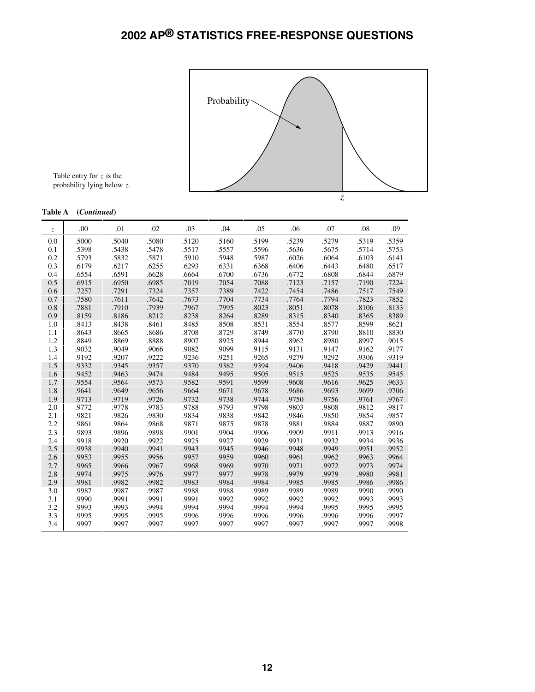

Table entry for *z* is the probability lying below *z*.

#### **Table A (***Continued***)**

| z   | .00   | .01   | .02   | .03   | .04   | .05   | .06   | .07   | .08   | .09   |
|-----|-------|-------|-------|-------|-------|-------|-------|-------|-------|-------|
| 0.0 | .5000 | .5040 | .5080 | .5120 | .5160 | .5199 | .5239 | .5279 | .5319 | .5359 |
| 0.1 | .5398 | .5438 | .5478 | .5517 | .5557 | .5596 | .5636 | .5675 | .5714 | .5753 |
| 0.2 | .5793 | .5832 | .5871 | .5910 | .5948 | .5987 | .6026 | .6064 | .6103 | .6141 |
| 0.3 | .6179 | .6217 | .6255 | .6293 | .6331 | .6368 | .6406 | .6443 | .6480 | .6517 |
| 0.4 | .6554 | .6591 | .6628 | .6664 | .6700 | .6736 | .6772 | .6808 | .6844 | .6879 |
| 0.5 | .6915 | .6950 | .6985 | .7019 | .7054 | .7088 | .7123 | .7157 | .7190 | .7224 |
| 0.6 | .7257 | .7291 | .7324 | .7357 | .7389 | .7422 | .7454 | .7486 | .7517 | .7549 |
| 0.7 | .7580 | .7611 | .7642 | .7673 | .7704 | .7734 | .7764 | .7794 | .7823 | .7852 |
| 0.8 | .7881 | .7910 | .7939 | .7967 | .7995 | .8023 | .8051 | .8078 | .8106 | .8133 |
| 0.9 | .8159 | .8186 | .8212 | .8238 | .8264 | .8289 | .8315 | .8340 | .8365 | .8389 |
| 1.0 | .8413 | .8438 | .8461 | .8485 | .8508 | .8531 | .8554 | .8577 | .8599 | .8621 |
| 1.1 | .8643 | .8665 | .8686 | .8708 | .8729 | .8749 | .8770 | .8790 | .8810 | .8830 |
| 1.2 | .8849 | .8869 | .8888 | .8907 | .8925 | .8944 | .8962 | .8980 | .8997 | .9015 |
| 1.3 | .9032 | .9049 | .9066 | .9082 | .9099 | .9115 | .9131 | .9147 | .9162 | .9177 |
| 1.4 | .9192 | .9207 | .9222 | .9236 | .9251 | .9265 | .9279 | .9292 | .9306 | .9319 |
| 1.5 | .9332 | .9345 | .9357 | .9370 | .9382 | .9394 | .9406 | .9418 | .9429 | .9441 |
| 1.6 | .9452 | .9463 | .9474 | .9484 | .9495 | .9505 | .9515 | .9525 | .9535 | .9545 |
| 1.7 | .9554 | .9564 | .9573 | .9582 | .9591 | .9599 | .9608 | .9616 | .9625 | .9633 |
| 1.8 | .9641 | .9649 | .9656 | .9664 | .9671 | .9678 | .9686 | .9693 | .9699 | .9706 |
| 1.9 | .9713 | .9719 | .9726 | .9732 | .9738 | .9744 | .9750 | .9756 | .9761 | .9767 |
| 2.0 | .9772 | .9778 | .9783 | .9788 | .9793 | .9798 | .9803 | .9808 | .9812 | .9817 |
| 2.1 | .9821 | .9826 | .9830 | .9834 | .9838 | .9842 | .9846 | .9850 | .9854 | .9857 |
| 2.2 | .9861 | .9864 | .9868 | .9871 | .9875 | .9878 | .9881 | .9884 | .9887 | .9890 |
| 2.3 | .9893 | .9896 | .9898 | .9901 | .9904 | .9906 | .9909 | .9911 | .9913 | .9916 |
| 2.4 | .9918 | .9920 | .9922 | .9925 | .9927 | .9929 | .9931 | .9932 | .9934 | .9936 |
| 2.5 | .9938 | .9940 | .9941 | .9943 | .9945 | .9946 | .9948 | .9949 | .9951 | .9952 |
| 2.6 | .9953 | .9955 | .9956 | .9957 | .9959 | .9960 | .9961 | .9962 | .9963 | .9964 |
| 2.7 | .9965 | .9966 | .9967 | .9968 | .9969 | .9970 | .9971 | .9972 | .9973 | .9974 |
| 2.8 | .9974 | .9975 | .9976 | .9977 | .9977 | .9978 | .9979 | .9979 | .9980 | .9981 |
| 2.9 | .9981 | .9982 | .9982 | .9983 | .9984 | .9984 | .9985 | .9985 | .9986 | .9986 |
| 3.0 | .9987 | .9987 | .9987 | .9988 | .9988 | .9989 | .9989 | .9989 | .9990 | .9990 |
| 3.1 | .9990 | .9991 | .9991 | .9991 | .9992 | .9992 | .9992 | .9992 | .9993 | .9993 |
| 3.2 | .9993 | .9993 | .9994 | .9994 | .9994 | .9994 | .9994 | .9995 | .9995 | .9995 |
| 3.3 | .9995 | .9995 | .9995 | .9996 | .9996 | .9996 | .9996 | .9996 | .9996 | .9997 |
| 3.4 | .9997 | .9997 | .9997 | .9997 | .9997 | .9997 | .9997 | .9997 | .9997 | .9998 |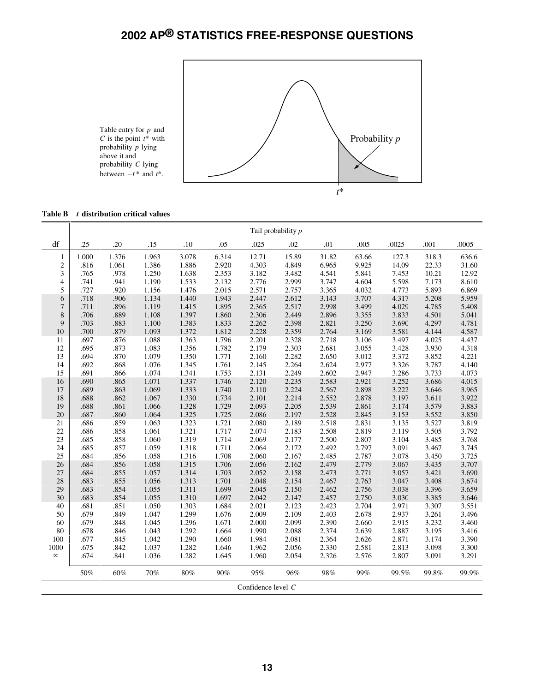

| <b>Table B</b> | t distribution critical values |  |  |
|----------------|--------------------------------|--|--|
|----------------|--------------------------------|--|--|

|                    | Tail probability p |       |       |       |       |       |       |       |       |       |       |       |
|--------------------|--------------------|-------|-------|-------|-------|-------|-------|-------|-------|-------|-------|-------|
| df                 | .25                | .20   | .15   | .10   | .05   | .025  | .02   | .01   | .005  | .0025 | .001  | .0005 |
| $\mathbf{1}$       | 1.000              | 1.376 | 1.963 | 3.078 | 6.314 | 12.71 | 15.89 | 31.82 | 63.66 | 127.3 | 318.3 | 636.6 |
| $\sqrt{2}$         | .816               | 1.061 | 1.386 | 1.886 | 2.920 | 4.303 | 4.849 | 6.965 | 9.925 | 14.09 | 22.33 | 31.60 |
| 3                  | .765               | .978  | 1.250 | 1.638 | 2.353 | 3.182 | 3.482 | 4.541 | 5.841 | 7.453 | 10.21 | 12.92 |
| $\overline{4}$     | .741               | .941  | 1.190 | 1.533 | 2.132 | 2.776 | 2.999 | 3.747 | 4.604 | 5.598 | 7.173 | 8.610 |
| 5                  | .727               | .920  | 1.156 | 1.476 | 2.015 | 2.571 | 2.757 | 3.365 | 4.032 | 4.773 | 5.893 | 6.869 |
| 6                  | .718               | .906  | 1.134 | 1.440 | 1.943 | 2.447 | 2.612 | 3.143 | 3.707 | 4.317 | 5.208 | 5.959 |
| $\overline{7}$     | .711               | .896  | 1.119 | 1.415 | 1.895 | 2.365 | 2.517 | 2.998 | 3.499 | 4.029 | 4.785 | 5.408 |
| 8                  | .706               | .889  | 1.108 | 1.397 | 1.860 | 2.306 | 2.449 | 2.896 | 3.355 | 3.833 | 4.501 | 5.041 |
| 9                  | .703               | .883  | 1.100 | 1.383 | 1.833 | 2.262 | 2.398 | 2.821 | 3.250 | 3.690 | 4.297 | 4.781 |
| 10                 | .700               | .879  | 1.093 | 1.372 | 1.812 | 2.228 | 2.359 | 2.764 | 3.169 | 3.581 | 4.144 | 4.587 |
| 11                 | .697               | .876  | 1.088 | 1.363 | 1.796 | 2.201 | 2.328 | 2.718 | 3.106 | 3.497 | 4.025 | 4.437 |
| 12                 | .695               | .873  | 1.083 | 1.356 | 1.782 | 2.179 | 2.303 | 2.681 | 3.055 | 3.428 | 3.930 | 4.318 |
| 13                 | .694               | .870  | 1.079 | 1.350 | 1.771 | 2.160 | 2.282 | 2.650 | 3.012 | 3.372 | 3.852 | 4.221 |
| 14                 | .692               | .868  | 1.076 | 1.345 | 1.761 | 2.145 | 2.264 | 2.624 | 2.977 | 3.326 | 3.787 | 4.140 |
| 15                 | .691               | .866  | 1.074 | 1.341 | 1.753 | 2.131 | 2.249 | 2.602 | 2.947 | 3.286 | 3.733 | 4.073 |
| 16                 | .690               | .865  | 1.071 | 1.337 | 1.746 | 2.120 | 2.235 | 2.583 | 2.921 | 3.252 | 3.686 | 4.015 |
| 17                 | .689               | .863  | 1.069 | 1.333 | 1.740 | 2.110 | 2.224 | 2.567 | 2.898 | 3.222 | 3.646 | 3.965 |
| 18                 | .688               | .862  | 1.067 | 1.330 | 1.734 | 2.101 | 2.214 | 2.552 | 2.878 | 3.197 | 3.611 | 3.922 |
| 19                 | .688               | .861  | 1.066 | 1.328 | 1.729 | 2.093 | 2.205 | 2.539 | 2.861 | 3.174 | 3.579 | 3.883 |
| 20                 | .687               | .860  | 1.064 | 1.325 | 1.725 | 2.086 | 2.197 | 2.528 | 2.845 | 3.153 | 3.552 | 3.850 |
| 21                 | .686               | .859  | 1.063 | 1.323 | 1.721 | 2.080 | 2.189 | 2.518 | 2.831 | 3.135 | 3.527 | 3.819 |
| 22                 | .686               | .858  | 1.061 | 1.321 | 1.717 | 2.074 | 2.183 | 2.508 | 2.819 | 3.119 | 3.505 | 3.792 |
| 23                 | .685               | .858  | 1.060 | 1.319 | 1.714 | 2.069 | 2.177 | 2.500 | 2.807 | 3.104 | 3.485 | 3.768 |
| 24                 | .685               | .857  | 1.059 | 1.318 | 1.711 | 2.064 | 2.172 | 2.492 | 2.797 | 3.091 | 3.467 | 3.745 |
| 25                 | .684               | .856  | 1.058 | 1.316 | 1.708 | 2.060 | 2.167 | 2.485 | 2.787 | 3.078 | 3.450 | 3.725 |
| 26                 | .684               | .856  | 1.058 | 1.315 | 1.706 | 2.056 | 2.162 | 2.479 | 2.779 | 3.067 | 3.435 | 3.707 |
| 27                 | .684               | .855  | 1.057 | 1.314 | 1.703 | 2.052 | 2.158 | 2.473 | 2.771 | 3.057 | 3.421 | 3.690 |
| 28                 | .683               | .855  | 1.056 | 1.313 | 1.701 | 2.048 | 2.154 | 2.467 | 2.763 | 3.047 | 3.408 | 3.674 |
| 29                 | .683               | .854  | 1.055 | 1.311 | 1.699 | 2.045 | 2.150 | 2.462 | 2.756 | 3.038 | 3.396 | 3.659 |
| 30                 | .683               | .854  | 1.055 | 1.310 | 1.697 | 2.042 | 2.147 | 2.457 | 2.750 | 3.030 | 3.385 | 3.646 |
| 40                 | .681               | .851  | 1.050 | 1.303 | 1.684 | 2.021 | 2.123 | 2.423 | 2.704 | 2.971 | 3.307 | 3.551 |
| 50                 | .679               | .849  | 1.047 | 1.299 | 1.676 | 2.009 | 2.109 | 2.403 | 2.678 | 2.937 | 3.261 | 3.496 |
| 60                 | .679               | .848  | 1.045 | 1.296 | 1.671 | 2.000 | 2.099 | 2.390 | 2.660 | 2.915 | 3.232 | 3.460 |
| 80                 | .678               | .846  | 1.043 | 1.292 | 1.664 | 1.990 | 2.088 | 2.374 | 2.639 | 2.887 | 3.195 | 3.416 |
| 100                | .677               | .845  | 1.042 | 1.290 | 1.660 | 1.984 | 2.081 | 2.364 | 2.626 | 2.871 | 3.174 | 3.390 |
| 1000               | .675               | .842  | 1.037 | 1.282 | 1.646 | 1.962 | 2.056 | 2.330 | 2.581 | 2.813 | 3.098 | 3.300 |
| $\infty$           | .674               | .841  | 1.036 | 1.282 | 1.645 | 1.960 | 2.054 | 2.326 | 2.576 | 2.807 | 3.091 | 3.291 |
|                    | 50%                | 60%   | 70%   | 80%   | 90%   | 95%   | 96%   | 98%   | 99%   | 99.5% | 99.8% | 99.9% |
| Confidence level C |                    |       |       |       |       |       |       |       |       |       |       |       |